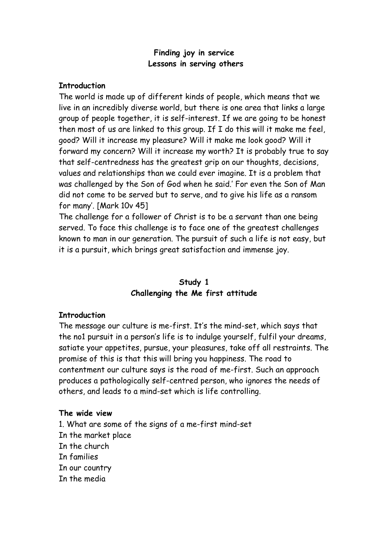#### **Finding joy in service Lessons in serving others**

#### **Introduction**

The world is made up of different kinds of people, which means that we live in an incredibly diverse world, but there is one area that links a large group of people together, it is self-interest. If we are going to be honest then most of us are linked to this group. If I do this will it make me feel, good? Will it increase my pleasure? Will it make me look good? Will it forward my concern? Will it increase my worth? It is probably true to say that self-centredness has the greatest grip on our thoughts, decisions, values and relationships than we could ever imagine. It is a problem that was challenged by the Son of God when he said.' For even the Son of Man did not come to be served but to serve, and to give his life as a ransom for many'. [Mark 10v 45]

The challenge for a follower of Christ is to be a servant than one being served. To face this challenge is to face one of the greatest challenges known to man in our generation. The pursuit of such a life is not easy, but it is a pursuit, which brings great satisfaction and immense joy.

## **Study 1 Challenging the Me first attitude**

#### **Introduction**

The message our culture is me-first. It's the mind-set, which says that the no1 pursuit in a person's life is to indulge yourself, fulfil your dreams, satiate your appetites, pursue, your pleasures, take off all restraints. The promise of this is that this will bring you happiness. The road to contentment our culture says is the road of me-first. Such an approach produces a pathologically self-centred person, who ignores the needs of others, and leads to a mind-set which is life controlling.

#### **The wide view**

1. What are some of the signs of a me-first mind-set In the market place In the church In families In our country In the media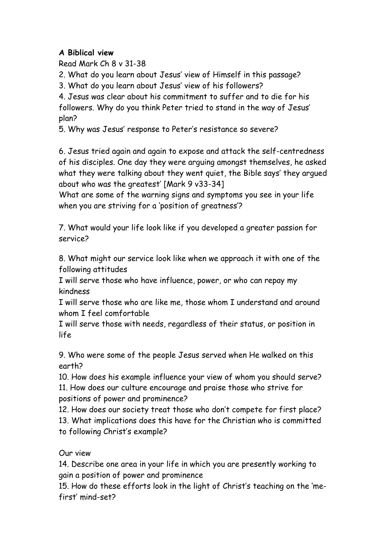# **A Biblical view**

Read Mark Ch 8 v 31-38

2. What do you learn about Jesus' view of Himself in this passage?

3. What do you learn about Jesus' view of his followers?

4. Jesus was clear about his commitment to suffer and to die for his followers. Why do you think Peter tried to stand in the way of Jesus' plan?

5. Why was Jesus' response to Peter's resistance so severe?

6. Jesus tried again and again to expose and attack the self-centredness of his disciples. One day they were arguing amongst themselves, he asked what they were talking about they went quiet, the Bible says' they argued about who was the greatest' [Mark 9 v33-34]

What are some of the warning signs and symptoms you see in your life when you are striving for a 'position of greatness'?

7. What would your life look like if you developed a greater passion for service?

8. What might our service look like when we approach it with one of the following attitudes

I will serve those who have influence, power, or who can repay my kindness

I will serve those who are like me, those whom I understand and around whom I feel comfortable

I will serve those with needs, regardless of their status, or position in life

9. Who were some of the people Jesus served when He walked on this earth?

10. How does his example influence your view of whom you should serve? 11. How does our culture encourage and praise those who strive for positions of power and prominence?

12. How does our society treat those who don't compete for first place? 13. What implications does this have for the Christian who is committed to following Christ's example?

# Our view

14. Describe one area in your life in which you are presently working to gain a position of power and prominence

15. How do these efforts look in the light of Christ's teaching on the 'mefirst' mind-set?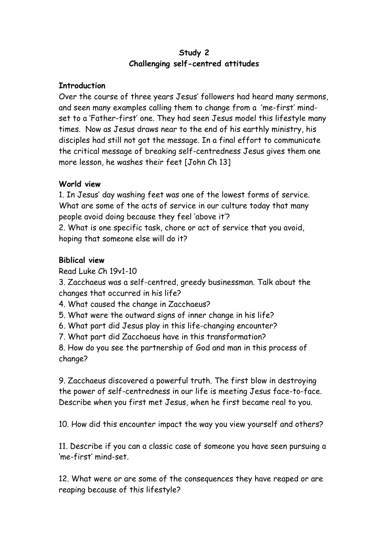### **Study 2 Challenging self-centred attitudes**

### **Introduction**

Over the course of three years Jesus' followers had heard many sermons, and seen many examples calling them to change from a 'me-first' mindset to a 'Father-first' one. They had seen Jesus model this lifestyle many times. Now as Jesus draws near to the end of his earthly ministry, his disciples had still not got the message. In a final effort to communicate the critical message of breaking self-centredness Jesus gives them one more lesson, he washes their feet [John Ch 13]

## **World view**

1. In Jesus' day washing feet was one of the lowest forms of service. What are some of the acts of service in our culture today that many people avoid doing because they feel 'above it'?

2. What is one specific task, chore or act of service that you avoid, hoping that someone else will do it?

## **Biblical view**

Read Luke Ch 19v1-10

3. Zacchaeus was a self-centred, greedy businessman. Talk about the changes that occurred in his life?

- 4. What caused the change in Zacchaeus?
- 5. What were the outward signs of inner change in his life?
- 6. What part did Jesus play in this life-changing encounter?

7. What part did Zacchaeus have in this transformation?

8. How do you see the partnership of God and man in this process of change?

9. Zacchaeus discovered a powerful truth. The first blow in destroying the power of self-centredness in our life is meeting Jesus face-to-face. Describe when you first met Jesus, when he first became real to you.

10. How did this encounter impact the way you view yourself and others?

11. Describe if you can a classic case of someone you have seen pursuing a 'me-first' mind-set.

12. What were or are some of the consequences they have reaped or are reaping because of this lifestyle?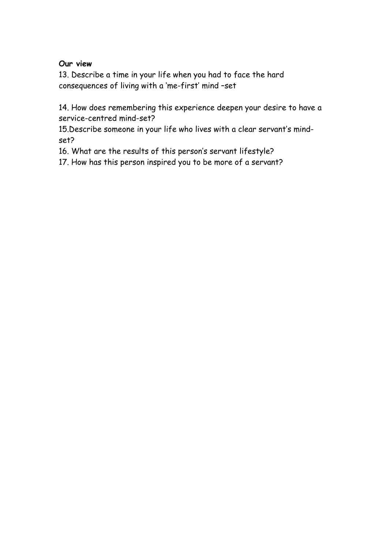### **Our view**

13. Describe a time in your life when you had to face the hard consequences of living with a 'me-first' mind –set

14. How does remembering this experience deepen your desire to have a service-centred mind-set?

15.Describe someone in your life who lives with a clear servant's mindset?

16. What are the results of this person's servant lifestyle?

17. How has this person inspired you to be more of a servant?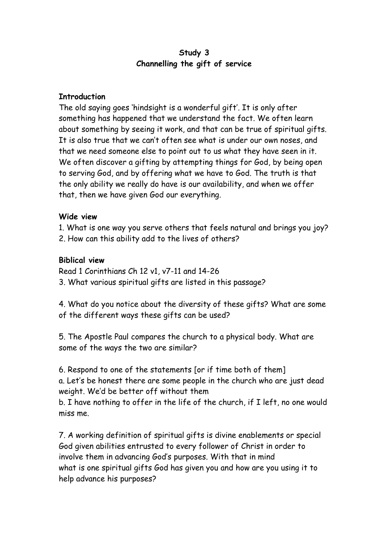### **Study 3 Channelling the gift of service**

### **Introduction**

The old saying goes 'hindsight is a wonderful gift'. It is only after something has happened that we understand the fact. We often learn about something by seeing it work, and that can be true of spiritual gifts. It is also true that we can't often see what is under our own noses, and that we need someone else to point out to us what they have seen in it. We often discover a gifting by attempting things for God, by being open to serving God, and by offering what we have to God. The truth is that the only ability we really do have is our availability, and when we offer that, then we have given God our everything.

### **Wide view**

- 1. What is one way you serve others that feels natural and brings you joy?
- 2. How can this ability add to the lives of others?

## **Biblical view**

Read 1 Corinthians Ch 12 v1, v7-11 and 14-26

3. What various spiritual gifts are listed in this passage?

4. What do you notice about the diversity of these gifts? What are some of the different ways these gifts can be used?

5. The Apostle Paul compares the church to a physical body. What are some of the ways the two are similar?

6. Respond to one of the statements [or if time both of them] a. Let's be honest there are some people in the church who are just dead weight. We'd be better off without them

b. I have nothing to offer in the life of the church, if I left, no one would miss me.

7. A working definition of spiritual gifts is divine enablements or special God given abilities entrusted to every follower of Christ in order to involve them in advancing God's purposes. With that in mind what is one spiritual gifts God has given you and how are you using it to help advance his purposes?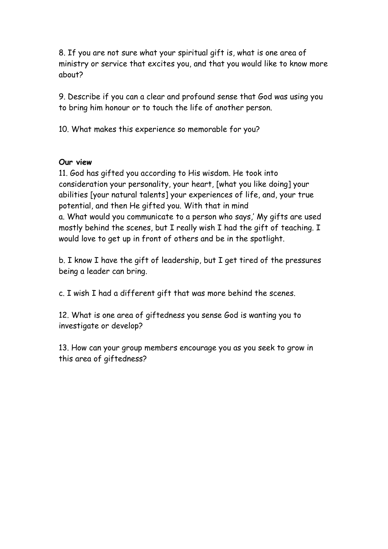8. If you are not sure what your spiritual gift is, what is one area of ministry or service that excites you, and that you would like to know more about?

9. Describe if you can a clear and profound sense that God was using you to bring him honour or to touch the life of another person.

10. What makes this experience so memorable for you?

#### **Our view**

11. God has gifted you according to His wisdom. He took into consideration your personality, your heart, [what you like doing] your abilities [your natural talents] your experiences of life, and, your true potential, and then He gifted you. With that in mind a. What would you communicate to a person who says,' My gifts are used mostly behind the scenes, but I really wish I had the gift of teaching. I would love to get up in front of others and be in the spotlight.

b. I know I have the gift of leadership, but I get tired of the pressures being a leader can bring.

c. I wish I had a different gift that was more behind the scenes.

12. What is one area of giftedness you sense God is wanting you to investigate or develop?

13. How can your group members encourage you as you seek to grow in this area of giftedness?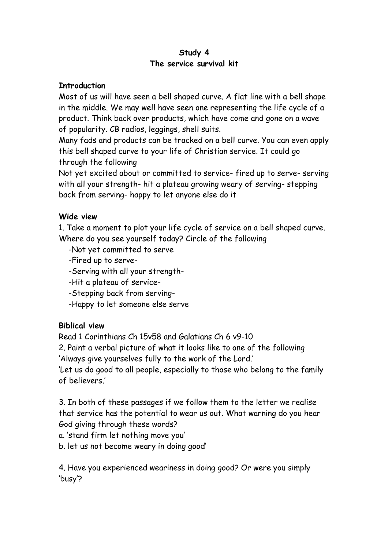### **Study 4 The service survival kit**

### **Introduction**

Most of us will have seen a bell shaped curve. A flat line with a bell shape in the middle. We may well have seen one representing the life cycle of a product. Think back over products, which have come and gone on a wave of popularity. CB radios, leggings, shell suits.

Many fads and products can be tracked on a bell curve. You can even apply this bell shaped curve to your life of Christian service. It could go through the following

Not yet excited about or committed to service- fired up to serve- serving with all your strength- hit a plateau growing weary of serving- stepping back from serving- happy to let anyone else do it

## **Wide view**

1. Take a moment to plot your life cycle of service on a bell shaped curve. Where do you see yourself today? Circle of the following

- -Not yet committed to serve
- -Fired up to serve-
- -Serving with all your strength-
- -Hit a plateau of service-
- -Stepping back from serving-
- -Happy to let someone else serve

## **Biblical view**

Read 1 Corinthians Ch 15v58 and Galatians Ch 6 v9-10

2. Paint a verbal picture of what it looks like to one of the following 'Always give yourselves fully to the work of the Lord.'

'Let us do good to all people, especially to those who belong to the family of believers.'

3. In both of these passages if we follow them to the letter we realise that service has the potential to wear us out. What warning do you hear God giving through these words?

- a. 'stand firm let nothing move you'
- b. let us not become weary in doing good'

4. Have you experienced weariness in doing good? Or were you simply 'busy'?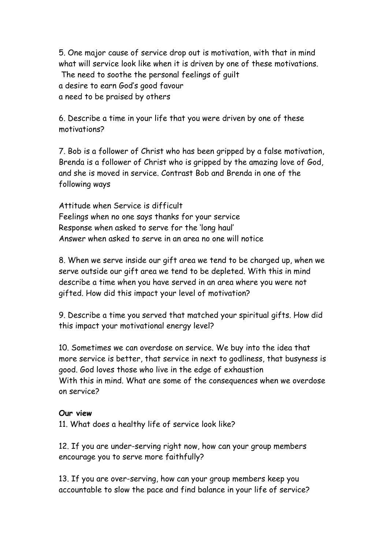5. One major cause of service drop out is motivation, with that in mind what will service look like when it is driven by one of these motivations. The need to soothe the personal feelings of guilt a desire to earn God's good favour a need to be praised by others

6. Describe a time in your life that you were driven by one of these motivations?

7. Bob is a follower of Christ who has been gripped by a false motivation, Brenda is a follower of Christ who is gripped by the amazing love of God, and she is moved in service. Contrast Bob and Brenda in one of the following ways

Attitude when Service is difficult Feelings when no one says thanks for your service Response when asked to serve for the 'long haul' Answer when asked to serve in an area no one will notice

8. When we serve inside our gift area we tend to be charged up, when we serve outside our gift area we tend to be depleted. With this in mind describe a time when you have served in an area where you were not gifted. How did this impact your level of motivation?

9. Describe a time you served that matched your spiritual gifts. How did this impact your motivational energy level?

10. Sometimes we can overdose on service. We buy into the idea that more service is better, that service in next to godliness, that busyness is good. God loves those who live in the edge of exhaustion With this in mind. What are some of the consequences when we overdose on service?

#### **Our view**

11. What does a healthy life of service look like?

12. If you are under-serving right now, how can your group members encourage you to serve more faithfully?

13. If you are over-serving, how can your group members keep you accountable to slow the pace and find balance in your life of service?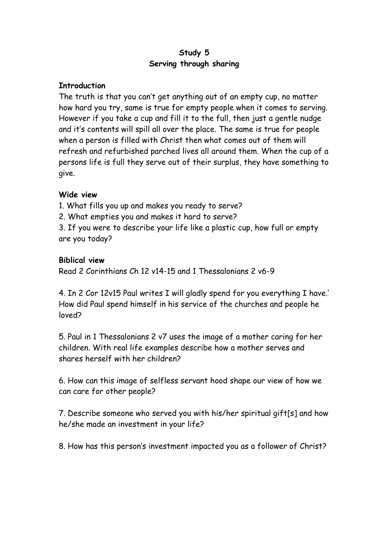## **Study 5 Serving through sharing**

### **Introduction**

The truth is that you can't get anything out of an empty cup, no matter how hard you try, same is true for empty people when it comes to serving. However if you take a cup and fill it to the full, then just a gentle nudge and it's contents will spill all over the place. The same is true for people when a person is filled with Christ then what comes out of them will refresh and refurbished parched lives all around them. When the cup of a persons life is full they serve out of their surplus, they have something to give.

### **Wide view**

1. What fills you up and makes you ready to serve?

2. What empties you and makes it hard to serve?

3. If you were to describe your life like a plastic cup, how full or empty are you today?

### **Biblical view**

Read 2 Corinthians Ch 12 v14-15 and 1 Thessalonians 2 v6-9

4. In 2 Cor 12v15 Paul writes I will gladly spend for you everything I have.' How did Paul spend himself in his service of the churches and people he loved?

5. Paul in 1 Thessalonians 2 v7 uses the image of a mother caring for her children. With real life examples describe how a mother serves and shares herself with her children?

6. How can this image of selfless servant hood shape our view of how we can care for other people?

7. Describe someone who served you with his/her spiritual gift[s] and how he/she made an investment in your life?

8. How has this person's investment impacted you as a follower of Christ?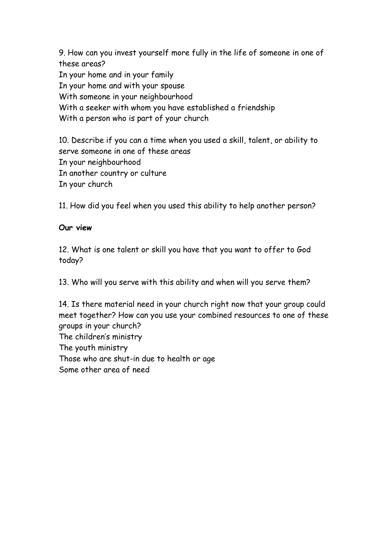9. How can you invest yourself more fully in the life of someone in one of these areas? In your home and in your family In your home and with your spouse With someone in your neighbourhood With a seeker with whom you have established a friendship With a person who is part of your church

10. Describe if you can a time when you used a skill, talent, or ability to serve someone in one of these areas In your neighbourhood In another country or culture In your church

11. How did you feel when you used this ability to help another person?

## **Our view**

12. What is one talent or skill you have that you want to offer to God today?

13. Who will you serve with this ability and when will you serve them?

14. Is there material need in your church right now that your group could meet together? How can you use your combined resources to one of these groups in your church? The children's ministry The youth ministry Those who are shut-in due to health or age Some other area of need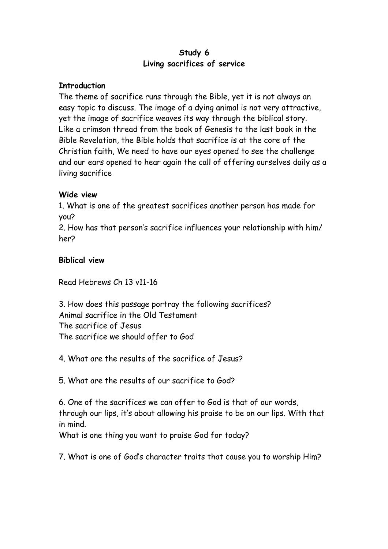### **Study 6 Living sacrifices of service**

### **Introduction**

The theme of sacrifice runs through the Bible, yet it is not always an easy topic to discuss. The image of a dying animal is not very attractive, yet the image of sacrifice weaves its way through the biblical story. Like a crimson thread from the book of Genesis to the last book in the Bible Revelation, the Bible holds that sacrifice is at the core of the Christian faith, We need to have our eyes opened to see the challenge and our ears opened to hear again the call of offering ourselves daily as a living sacrifice

### **Wide view**

1. What is one of the greatest sacrifices another person has made for you?

2. How has that person's sacrifice influences your relationship with him/ her?

### **Biblical view**

Read Hebrews Ch 13 v11-16

3. How does this passage portray the following sacrifices? Animal sacrifice in the Old Testament The sacrifice of Jesus The sacrifice we should offer to God

4. What are the results of the sacrifice of Jesus?

5. What are the results of our sacrifice to God?

6. One of the sacrifices we can offer to God is that of our words, through our lips, it's about allowing his praise to be on our lips. With that in mind.

What is one thing you want to praise God for today?

7. What is one of God's character traits that cause you to worship Him?